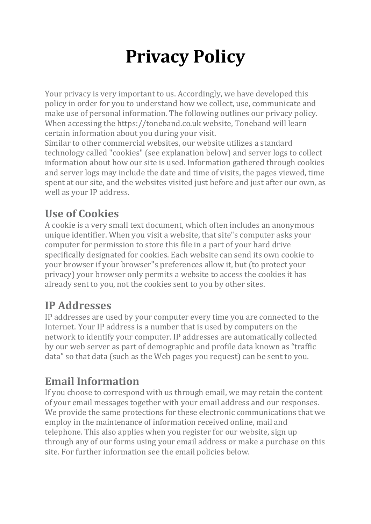# **Privacy Policy**

Your privacy is very important to us. Accordingly, we have developed this policy in order for you to understand how we collect, use, communicate and make use of personal information. The following outlines our privacy policy. When accessing the https://toneband.co.uk website, Toneband will learn certain information about you during your visit.

Similar to other commercial websites, our website utilizes a standard technology called "cookies" (see explanation below) and server logs to collect information about how our site is used. Information gathered through cookies and server logs may include the date and time of visits, the pages viewed, time spent at our site, and the websites visited just before and just after our own, as well as your IP address.

## **Use of Cookies**

A cookie is a very small text document, which often includes an anonymous unique identifier. When you visit a website, that site"s computer asks your computer for permission to store this file in a part of your hard drive specifically designated for cookies. Each website can send its own cookie to your browser if your browser"s preferences allow it, but (to protect your privacy) your browser only permits a website to access the cookies it has already sent to you, not the cookies sent to you by other sites.

#### **IP Addresses**

IP addresses are used by your computer every time you are connected to the Internet. Your IP address is a number that is used by computers on the network to identify your computer. IP addresses are automatically collected by our web server as part of demographic and profile data known as "traffic data" so that data (such as the Web pages you request) can be sent to you.

#### **Email Information**

If you choose to correspond with us through email, we may retain the content of your email messages together with your email address and our responses. We provide the same protections for these electronic communications that we employ in the maintenance of information received online, mail and telephone. This also applies when you register for our website, sign up through any of our forms using your email address or make a purchase on this site. For further information see the email policies below.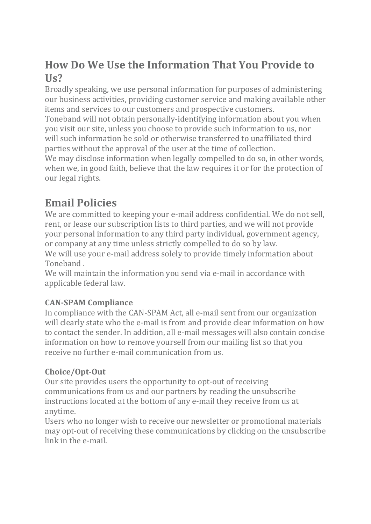#### **How Do We Use the Information That You Provide to Us?**

Broadly speaking, we use personal information for purposes of administering our business activities, providing customer service and making available other items and services to our customers and prospective customers.

Toneband will not obtain personally-identifying information about you when you visit our site, unless you choose to provide such information to us, nor will such information be sold or otherwise transferred to unaffiliated third parties without the approval of the user at the time of collection.

We may disclose information when legally compelled to do so, in other words, when we, in good faith, believe that the law requires it or for the protection of our legal rights.

#### **Email Policies**

We are committed to keeping your e-mail address confidential. We do not sell, rent, or lease our subscription lists to third parties, and we will not provide your personal information to any third party individual, government agency, or company at any time unless strictly compelled to do so by law.

We will use your e-mail address solely to provide timely information about Toneband .

We will maintain the information you send via e-mail in accordance with applicable federal law.

#### **CAN-SPAM Compliance**

In compliance with the CAN-SPAM Act, all e-mail sent from our organization will clearly state who the e-mail is from and provide clear information on how to contact the sender. In addition, all e-mail messages will also contain concise information on how to remove yourself from our mailing list so that you receive no further e-mail communication from us.

#### **Choice/Opt-Out**

Our site provides users the opportunity to opt-out of receiving communications from us and our partners by reading the unsubscribe instructions located at the bottom of any e-mail they receive from us at anytime.

Users who no longer wish to receive our newsletter or promotional materials may opt-out of receiving these communications by clicking on the unsubscribe link in the e-mail.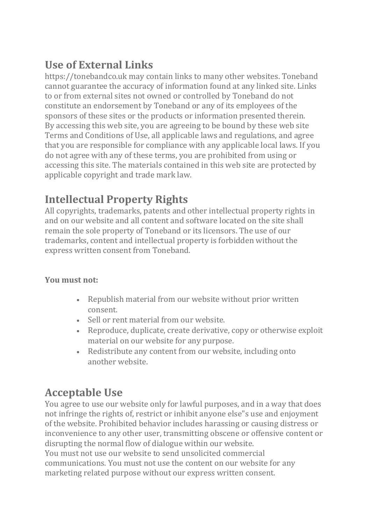# **Use of External Links**

https://tonebandco.uk may contain links to many other websites. Toneband cannot guarantee the accuracy of information found at any linked site. Links to or from external sites not owned or controlled by Toneband do not constitute an endorsement by Toneband or any of its employees of the sponsors of these sites or the products or information presented therein. By accessing this web site, you are agreeing to be bound by these web site Terms and Conditions of Use, all applicable laws and regulations, and agree that you are responsible for compliance with any applicable local laws. If you do not agree with any of these terms, you are prohibited from using or accessing this site. The materials contained in this web site are protected by applicable copyright and trade mark law.

# **Intellectual Property Rights**

All copyrights, trademarks, patents and other intellectual property rights in and on our website and all content and software located on the site shall remain the sole property of Toneband or its licensors. The use of our trademarks, content and intellectual property is forbidden without the express written consent from Toneband.

#### **You must not:**

- Republish material from our website without prior written consent.
- Sell or rent material from our website.
- Reproduce, duplicate, create derivative, copy or otherwise exploit material on our website for any purpose.
- Redistribute any content from our website, including onto another website.

# **Acceptable Use**

You agree to use our website only for lawful purposes, and in a way that does not infringe the rights of, restrict or inhibit anyone else"s use and enjoyment of the website. Prohibited behavior includes harassing or causing distress or inconvenience to any other user, transmitting obscene or offensive content or disrupting the normal flow of dialogue within our website. You must not use our website to send unsolicited commercial

communications. You must not use the content on our website for any marketing related purpose without our express written consent.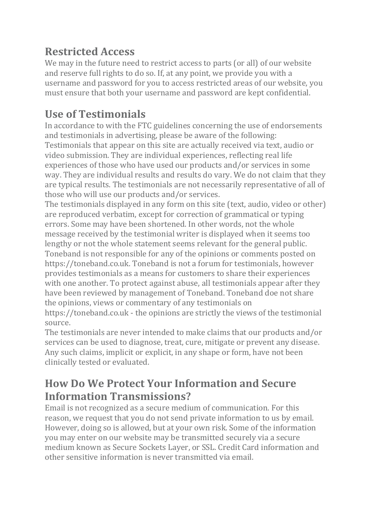## **Restricted Access**

We may in the future need to restrict access to parts (or all) of our website and reserve full rights to do so. If, at any point, we provide you with a username and password for you to access restricted areas of our website, you must ensure that both your username and password are kept confidential.

# **Use of Testimonials**

In accordance to with the FTC guidelines concerning the use of endorsements and testimonials in advertising, please be aware of the following: Testimonials that appear on this site are actually received via text, audio or video submission. They are individual experiences, reflecting real life experiences of those who have used our products and/or services in some way. They are individual results and results do vary. We do not claim that they are typical results. The testimonials are not necessarily representative of all of those who will use our products and/or services.

The testimonials displayed in any form on this site (text, audio, video or other) are reproduced verbatim, except for correction of grammatical or typing errors. Some may have been shortened. In other words, not the whole message received by the testimonial writer is displayed when it seems too lengthy or not the whole statement seems relevant for the general public. Toneband is not responsible for any of the opinions or comments posted on https://toneband.co.uk. Toneband is not a forum for testimonials, however provides testimonials as a means for customers to share their experiences with one another. To protect against abuse, all testimonials appear after they have been reviewed by management of Toneband. Toneband doe not share the opinions, views or commentary of any testimonials on

https://toneband.co.uk - the opinions are strictly the views of the testimonial source.

The testimonials are never intended to make claims that our products and/or services can be used to diagnose, treat, cure, mitigate or prevent any disease. Any such claims, implicit or explicit, in any shape or form, have not been clinically tested or evaluated.

## **How Do We Protect Your Information and Secure Information Transmissions?**

Email is not recognized as a secure medium of communication. For this reason, we request that you do not send private information to us by email. However, doing so is allowed, but at your own risk. Some of the information you may enter on our website may be transmitted securely via a secure medium known as Secure Sockets Layer, or SSL. Credit Card information and other sensitive information is never transmitted via email.